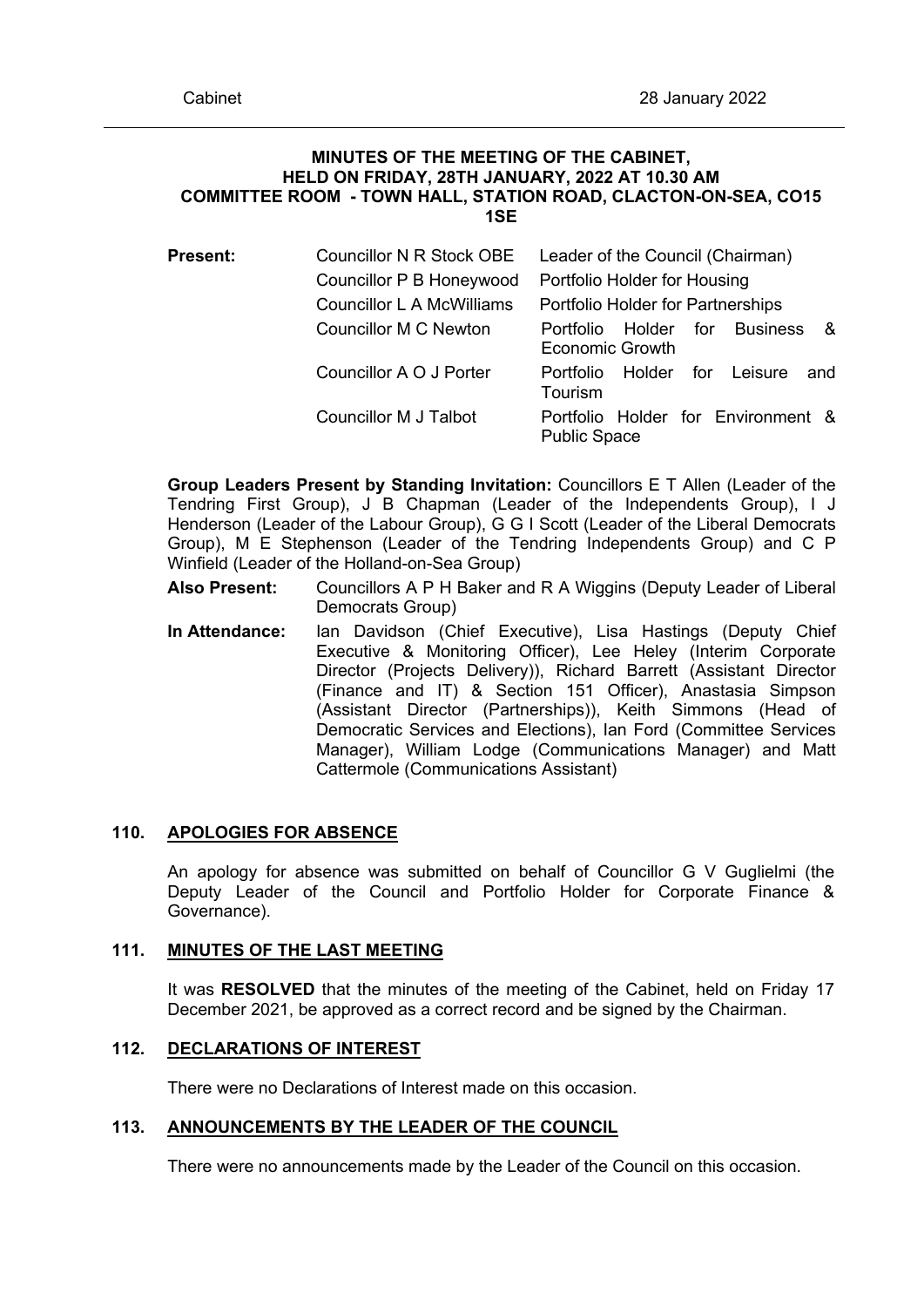### **MINUTES OF THE MEETING OF THE CABINET, HELD ON FRIDAY, 28TH JANUARY, 2022 AT 10.30 AM COMMITTEE ROOM - TOWN HALL, STATION ROAD, CLACTON-ON-SEA, CO15 1SE**

| <b>Present:</b> | Councillor N R Stock OBE  | Leader of the Council (Chairman)                                  |
|-----------------|---------------------------|-------------------------------------------------------------------|
|                 | Councillor P B Honeywood  | Portfolio Holder for Housing                                      |
|                 | Councillor L A McWilliams | Portfolio Holder for Partnerships                                 |
|                 | Councillor M C Newton     | Holder for Business<br>- &<br>Portfolio<br><b>Economic Growth</b> |
|                 | Councillor A O J Porter   | Leisure<br>for<br>Holder<br>Portfolio<br>and<br>Tourism           |
|                 | Councillor M J Talbot     | Portfolio Holder for Environment &<br><b>Public Space</b>         |

**Group Leaders Present by Standing Invitation:** Councillors E T Allen (Leader of the Tendring First Group), J B Chapman (Leader of the Independents Group), I J Henderson (Leader of the Labour Group), G G I Scott (Leader of the Liberal Democrats Group), M E Stephenson (Leader of the Tendring Independents Group) and C P Winfield (Leader of the Holland-on-Sea Group)

- **Also Present:** Councillors A P H Baker and R A Wiggins (Deputy Leader of Liberal Democrats Group)
- **In Attendance:** Ian Davidson (Chief Executive), Lisa Hastings (Deputy Chief Executive & Monitoring Officer), Lee Heley (Interim Corporate Director (Projects Delivery)), Richard Barrett (Assistant Director (Finance and IT) & Section 151 Officer), Anastasia Simpson (Assistant Director (Partnerships)), Keith Simmons (Head of Democratic Services and Elections), Ian Ford (Committee Services Manager), William Lodge (Communications Manager) and Matt Cattermole (Communications Assistant)

## **110. APOLOGIES FOR ABSENCE**

An apology for absence was submitted on behalf of Councillor G V Guglielmi (the Deputy Leader of the Council and Portfolio Holder for Corporate Finance & Governance).

## **111. MINUTES OF THE LAST MEETING**

It was **RESOLVED** that the minutes of the meeting of the Cabinet, held on Friday 17 December 2021, be approved as a correct record and be signed by the Chairman.

## **112. DECLARATIONS OF INTEREST**

There were no Declarations of Interest made on this occasion.

## **113. ANNOUNCEMENTS BY THE LEADER OF THE COUNCIL**

There were no announcements made by the Leader of the Council on this occasion.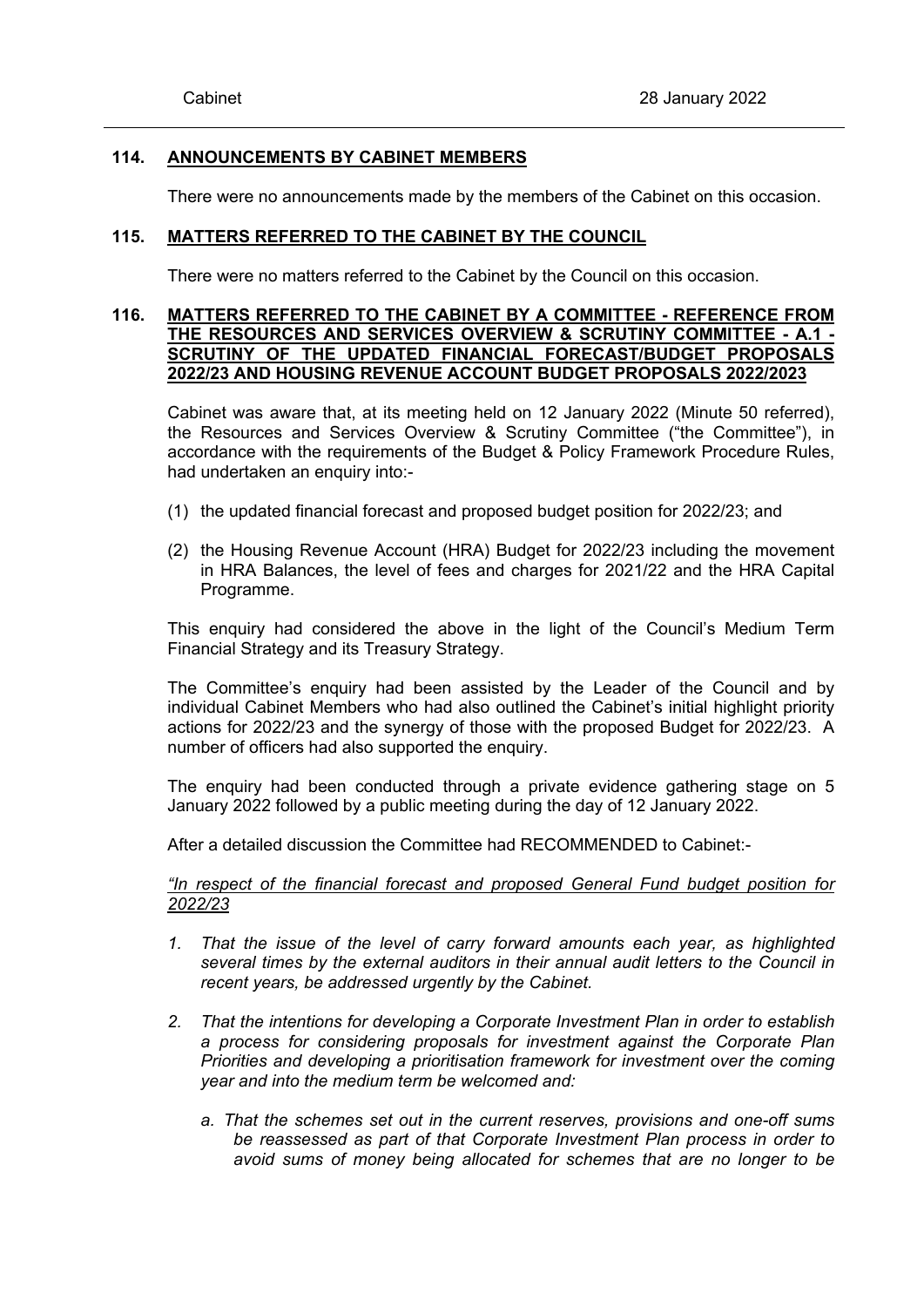# **114. ANNOUNCEMENTS BY CABINET MEMBERS**

There were no announcements made by the members of the Cabinet on this occasion.

## **115. MATTERS REFERRED TO THE CABINET BY THE COUNCIL**

There were no matters referred to the Cabinet by the Council on this occasion.

# **116. MATTERS REFERRED TO THE CABINET BY A COMMITTEE - REFERENCE FROM THE RESOURCES AND SERVICES OVERVIEW & SCRUTINY COMMITTEE - A.1 - SCRUTINY OF THE UPDATED FINANCIAL FORECAST/BUDGET PROPOSALS 2022/23 AND HOUSING REVENUE ACCOUNT BUDGET PROPOSALS 2022/2023**

Cabinet was aware that, at its meeting held on 12 January 2022 (Minute 50 referred), the Resources and Services Overview & Scrutiny Committee ("the Committee"), in accordance with the requirements of the Budget & Policy Framework Procedure Rules, had undertaken an enquiry into:-

- (1) the updated financial forecast and proposed budget position for 2022/23; and
- (2) the Housing Revenue Account (HRA) Budget for 2022/23 including the movement in HRA Balances, the level of fees and charges for 2021/22 and the HRA Capital Programme.

This enquiry had considered the above in the light of the Council's Medium Term Financial Strategy and its Treasury Strategy.

The Committee's enquiry had been assisted by the Leader of the Council and by individual Cabinet Members who had also outlined the Cabinet's initial highlight priority actions for 2022/23 and the synergy of those with the proposed Budget for 2022/23. A number of officers had also supported the enquiry.

The enquiry had been conducted through a private evidence gathering stage on 5 January 2022 followed by a public meeting during the day of 12 January 2022.

After a detailed discussion the Committee had RECOMMENDED to Cabinet:-

*"In respect of the financial forecast and proposed General Fund budget position for 2022/23*

- *1. That the issue of the level of carry forward amounts each year, as highlighted several times by the external auditors in their annual audit letters to the Council in recent years, be addressed urgently by the Cabinet.*
- *2. That the intentions for developing a Corporate Investment Plan in order to establish a process for considering proposals for investment against the Corporate Plan Priorities and developing a prioritisation framework for investment over the coming year and into the medium term be welcomed and:*
	- *a. That the schemes set out in the current reserves, provisions and one-off sums be reassessed as part of that Corporate Investment Plan process in order to avoid sums of money being allocated for schemes that are no longer to be*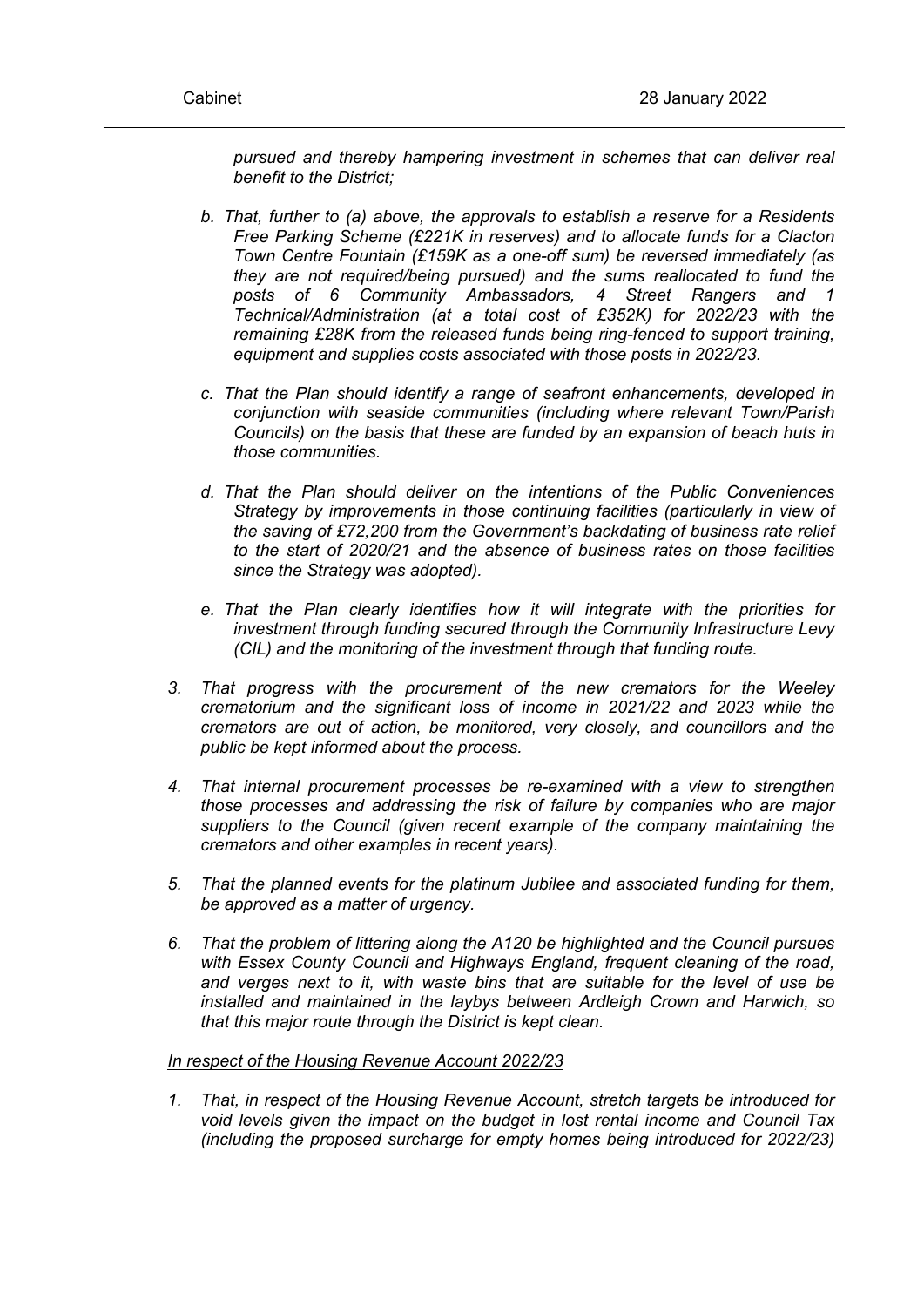*pursued and thereby hampering investment in schemes that can deliver real benefit to the District;*

- *b. That, further to (a) above, the approvals to establish a reserve for a Residents Free Parking Scheme (£221K in reserves) and to allocate funds for a Clacton Town Centre Fountain (£159K as a one-off sum) be reversed immediately (as they are not required/being pursued) and the sums reallocated to fund the posts of 6 Community Ambassadors, 4 Street Rangers and 1 Technical/Administration (at a total cost of £352K) for 2022/23 with the remaining £28K from the released funds being ring-fenced to support training, equipment and supplies costs associated with those posts in 2022/23.*
- *c. That the Plan should identify a range of seafront enhancements, developed in conjunction with seaside communities (including where relevant Town/Parish Councils) on the basis that these are funded by an expansion of beach huts in those communities.*
- *d. That the Plan should deliver on the intentions of the Public Conveniences Strategy by improvements in those continuing facilities (particularly in view of the saving of £72,200 from the Government's backdating of business rate relief to the start of 2020/21 and the absence of business rates on those facilities since the Strategy was adopted).*
- *e. That the Plan clearly identifies how it will integrate with the priorities for investment through funding secured through the Community Infrastructure Levy (CIL) and the monitoring of the investment through that funding route.*
- *3. That progress with the procurement of the new cremators for the Weeley crematorium and the significant loss of income in 2021/22 and 2023 while the cremators are out of action, be monitored, very closely, and councillors and the public be kept informed about the process.*
- *4. That internal procurement processes be re-examined with a view to strengthen those processes and addressing the risk of failure by companies who are major suppliers to the Council (given recent example of the company maintaining the cremators and other examples in recent years).*
- *5. That the planned events for the platinum Jubilee and associated funding for them, be approved as a matter of urgency.*
- *6. That the problem of littering along the A120 be highlighted and the Council pursues with Essex County Council and Highways England, frequent cleaning of the road, and verges next to it, with waste bins that are suitable for the level of use be installed and maintained in the laybys between Ardleigh Crown and Harwich, so that this major route through the District is kept clean.*

### *In respect of the Housing Revenue Account 2022/23*

*1. That, in respect of the Housing Revenue Account, stretch targets be introduced for void levels given the impact on the budget in lost rental income and Council Tax (including the proposed surcharge for empty homes being introduced for 2022/23)*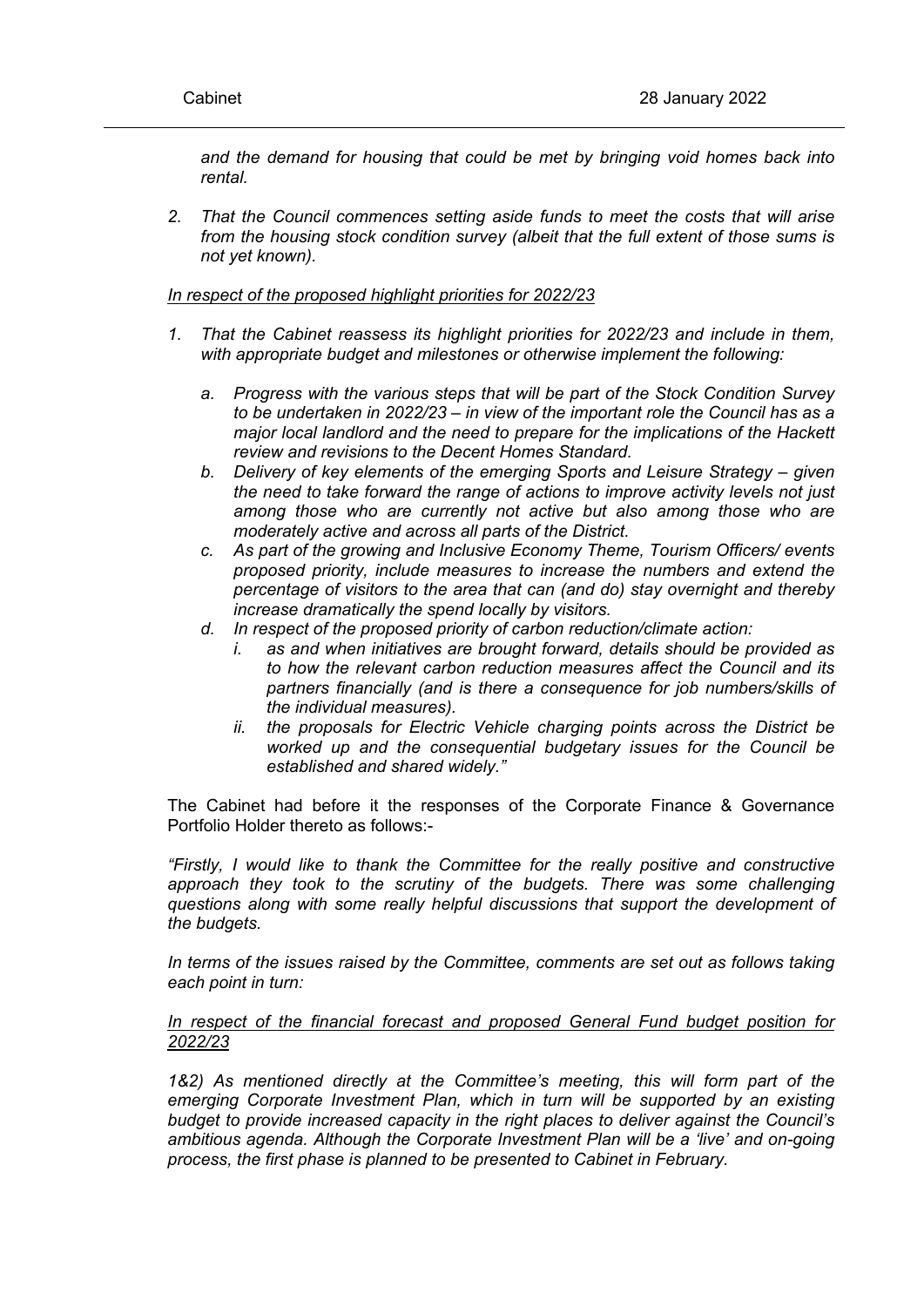*and the demand for housing that could be met by bringing void homes back into rental.*

*2. That the Council commences setting aside funds to meet the costs that will arise from the housing stock condition survey (albeit that the full extent of those sums is not yet known).*

## *In respect of the proposed highlight priorities for 2022/23*

- *1. That the Cabinet reassess its highlight priorities for 2022/23 and include in them, with appropriate budget and milestones or otherwise implement the following:*
	- *a. Progress with the various steps that will be part of the Stock Condition Survey to be undertaken in 2022/23 – in view of the important role the Council has as a major local landlord and the need to prepare for the implications of the Hackett review and revisions to the Decent Homes Standard.*
	- *b. Delivery of key elements of the emerging Sports and Leisure Strategy – given the need to take forward the range of actions to improve activity levels not just among those who are currently not active but also among those who are moderately active and across all parts of the District.*
	- *c. As part of the growing and Inclusive Economy Theme, Tourism Officers/ events proposed priority, include measures to increase the numbers and extend the percentage of visitors to the area that can (and do) stay overnight and thereby increase dramatically the spend locally by visitors.*
	- *d. In respect of the proposed priority of carbon reduction/climate action:*
		- *i. as and when initiatives are brought forward, details should be provided as to how the relevant carbon reduction measures affect the Council and its partners financially (and is there a consequence for job numbers/skills of the individual measures).*
		- *ii. the proposals for Electric Vehicle charging points across the District be worked up and the consequential budgetary issues for the Council be established and shared widely."*

The Cabinet had before it the responses of the Corporate Finance & Governance Portfolio Holder thereto as follows:-

*"Firstly, I would like to thank the Committee for the really positive and constructive approach they took to the scrutiny of the budgets. There was some challenging questions along with some really helpful discussions that support the development of the budgets.* 

*In terms of the issues raised by the Committee, comments are set out as follows taking each point in turn:*

## *In respect of the financial forecast and proposed General Fund budget position for 2022/23*

*1&2) As mentioned directly at the Committee's meeting, this will form part of the emerging Corporate Investment Plan, which in turn will be supported by an existing budget to provide increased capacity in the right places to deliver against the Council's ambitious agenda. Although the Corporate Investment Plan will be a 'live' and on-going process, the first phase is planned to be presented to Cabinet in February.*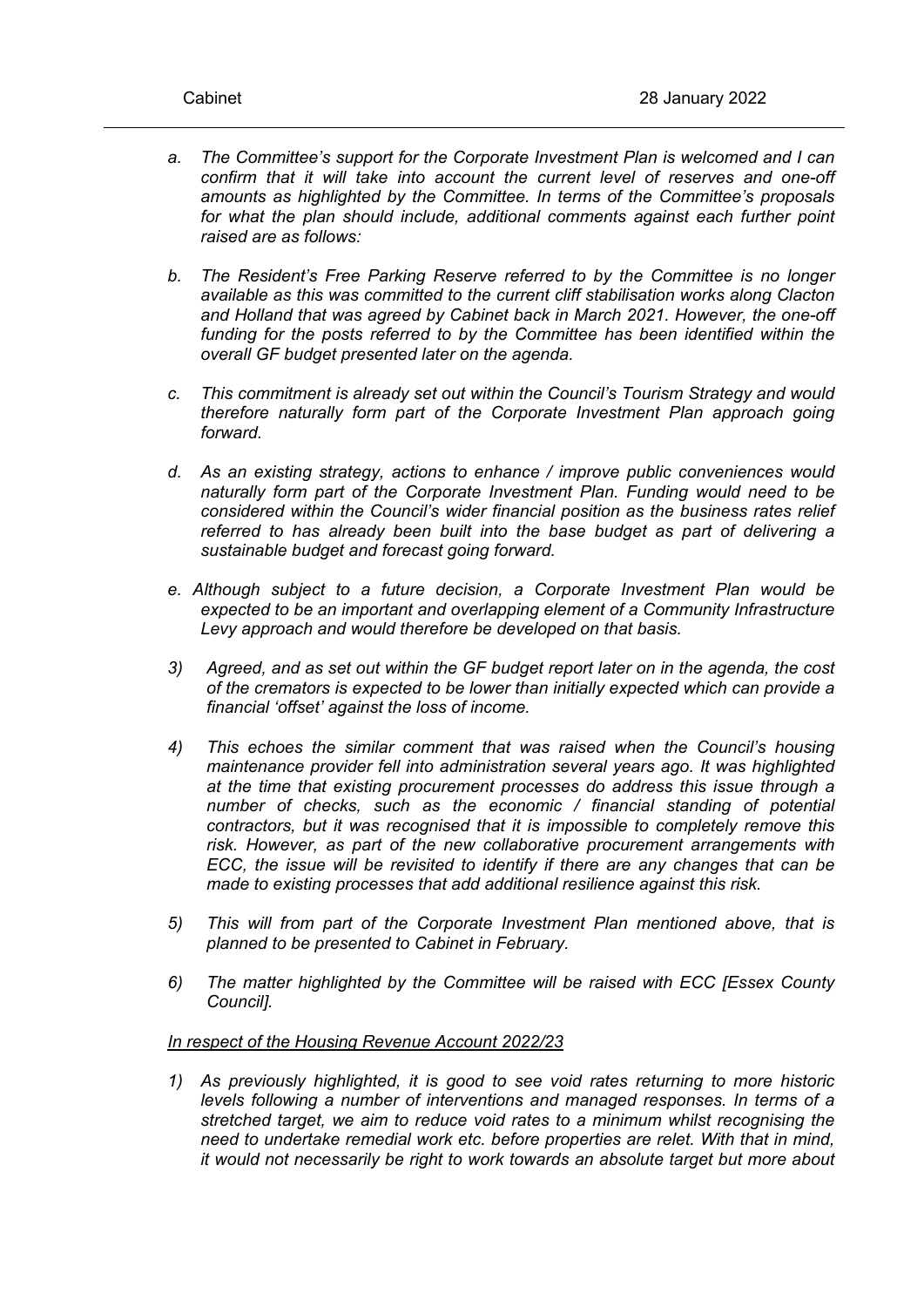- *a. The Committee's support for the Corporate Investment Plan is welcomed and I can confirm that it will take into account the current level of reserves and one-off amounts as highlighted by the Committee. In terms of the Committee's proposals for what the plan should include, additional comments against each further point raised are as follows:*
- *b. The Resident's Free Parking Reserve referred to by the Committee is no longer available as this was committed to the current cliff stabilisation works along Clacton and Holland that was agreed by Cabinet back in March 2021. However, the one-off funding for the posts referred to by the Committee has been identified within the overall GF budget presented later on the agenda.*
- *c. This commitment is already set out within the Council's Tourism Strategy and would therefore naturally form part of the Corporate Investment Plan approach going forward.*
- *d. As an existing strategy, actions to enhance / improve public conveniences would naturally form part of the Corporate Investment Plan. Funding would need to be considered within the Council's wider financial position as the business rates relief referred to has already been built into the base budget as part of delivering a sustainable budget and forecast going forward.*
- *e. Although subject to a future decision, a Corporate Investment Plan would be expected to be an important and overlapping element of a Community Infrastructure Levy approach and would therefore be developed on that basis.*
- *3) Agreed, and as set out within the GF budget report later on in the agenda, the cost of the cremators is expected to be lower than initially expected which can provide a financial 'offset' against the loss of income.*
- *4) This echoes the similar comment that was raised when the Council's housing maintenance provider fell into administration several years ago. It was highlighted at the time that existing procurement processes do address this issue through a number of checks, such as the economic / financial standing of potential contractors, but it was recognised that it is impossible to completely remove this risk. However, as part of the new collaborative procurement arrangements with ECC, the issue will be revisited to identify if there are any changes that can be made to existing processes that add additional resilience against this risk.*
- *5) This will from part of the Corporate Investment Plan mentioned above, that is planned to be presented to Cabinet in February.*
- *6) The matter highlighted by the Committee will be raised with ECC [Essex County Council].*

## *In respect of the Housing Revenue Account 2022/23*

*1) As previously highlighted, it is good to see void rates returning to more historic levels following a number of interventions and managed responses. In terms of a stretched target, we aim to reduce void rates to a minimum whilst recognising the need to undertake remedial work etc. before properties are relet. With that in mind, it would not necessarily be right to work towards an absolute target but more about*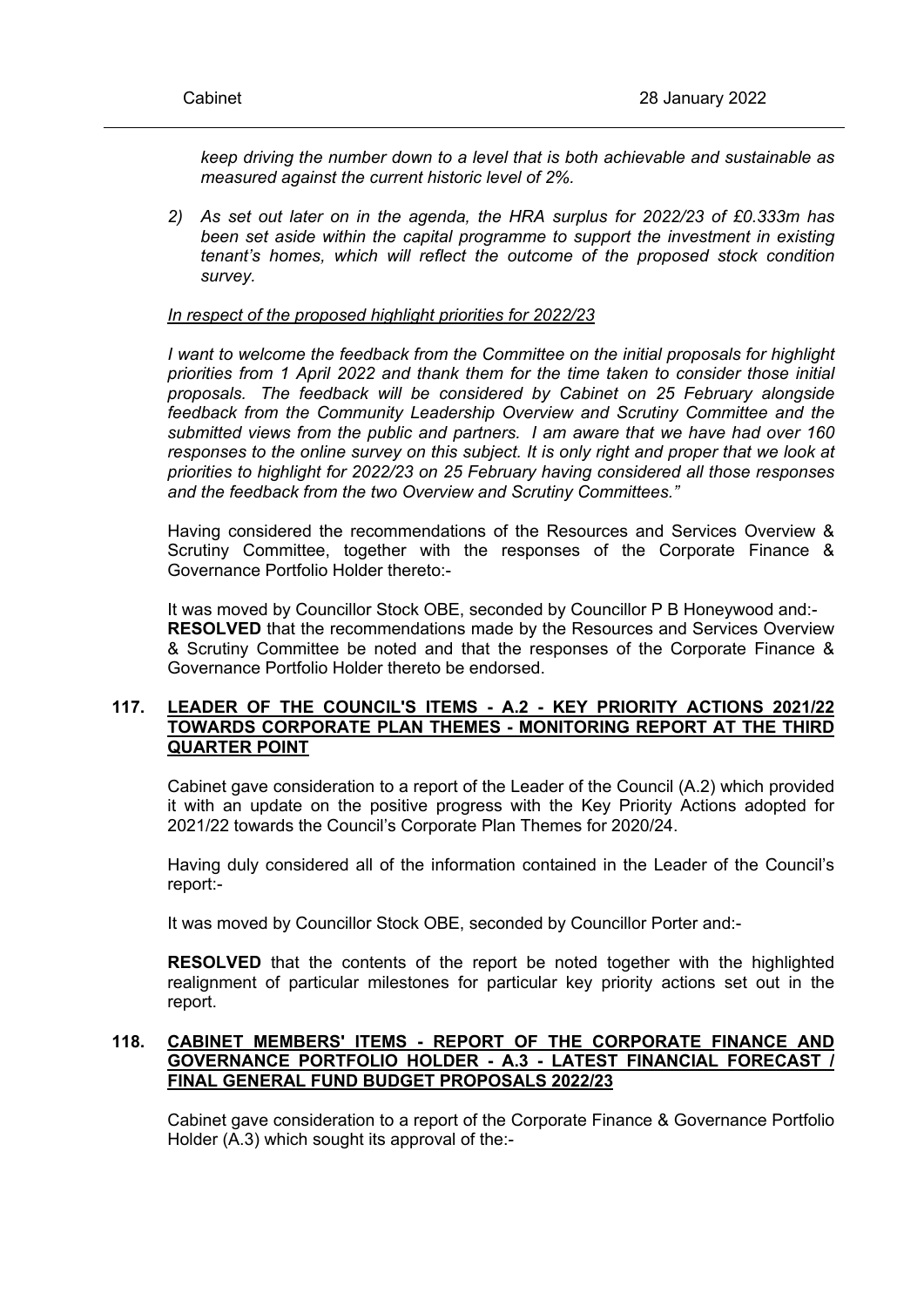*keep driving the number down to a level that is both achievable and sustainable as measured against the current historic level of 2%.*

*2) As set out later on in the agenda, the HRA surplus for 2022/23 of £0.333m has been set aside within the capital programme to support the investment in existing tenant's homes, which will reflect the outcome of the proposed stock condition survey.*

## *In respect of the proposed highlight priorities for 2022/23*

*I want to welcome the feedback from the Committee on the initial proposals for highlight priorities from 1 April 2022 and thank them for the time taken to consider those initial proposals. The feedback will be considered by Cabinet on 25 February alongside feedback from the Community Leadership Overview and Scrutiny Committee and the submitted views from the public and partners. I am aware that we have had over 160 responses to the online survey on this subject. It is only right and proper that we look at priorities to highlight for 2022/23 on 25 February having considered all those responses and the feedback from the two Overview and Scrutiny Committees."*

Having considered the recommendations of the Resources and Services Overview & Scrutiny Committee, together with the responses of the Corporate Finance & Governance Portfolio Holder thereto:-

It was moved by Councillor Stock OBE, seconded by Councillor P B Honeywood and:- **RESOLVED** that the recommendations made by the Resources and Services Overview & Scrutiny Committee be noted and that the responses of the Corporate Finance & Governance Portfolio Holder thereto be endorsed.

# **117. LEADER OF THE COUNCIL'S ITEMS - A.2 - KEY PRIORITY ACTIONS 2021/22 TOWARDS CORPORATE PLAN THEMES - MONITORING REPORT AT THE THIRD QUARTER POINT**

Cabinet gave consideration to a report of the Leader of the Council (A.2) which provided it with an update on the positive progress with the Key Priority Actions adopted for 2021/22 towards the Council's Corporate Plan Themes for 2020/24.

Having duly considered all of the information contained in the Leader of the Council's report:-

It was moved by Councillor Stock OBE, seconded by Councillor Porter and:-

**RESOLVED** that the contents of the report be noted together with the highlighted realignment of particular milestones for particular key priority actions set out in the report.

# **118. CABINET MEMBERS' ITEMS - REPORT OF THE CORPORATE FINANCE AND GOVERNANCE PORTFOLIO HOLDER - A.3 - LATEST FINANCIAL FORECAST / FINAL GENERAL FUND BUDGET PROPOSALS 2022/23**

Cabinet gave consideration to a report of the Corporate Finance & Governance Portfolio Holder (A.3) which sought its approval of the:-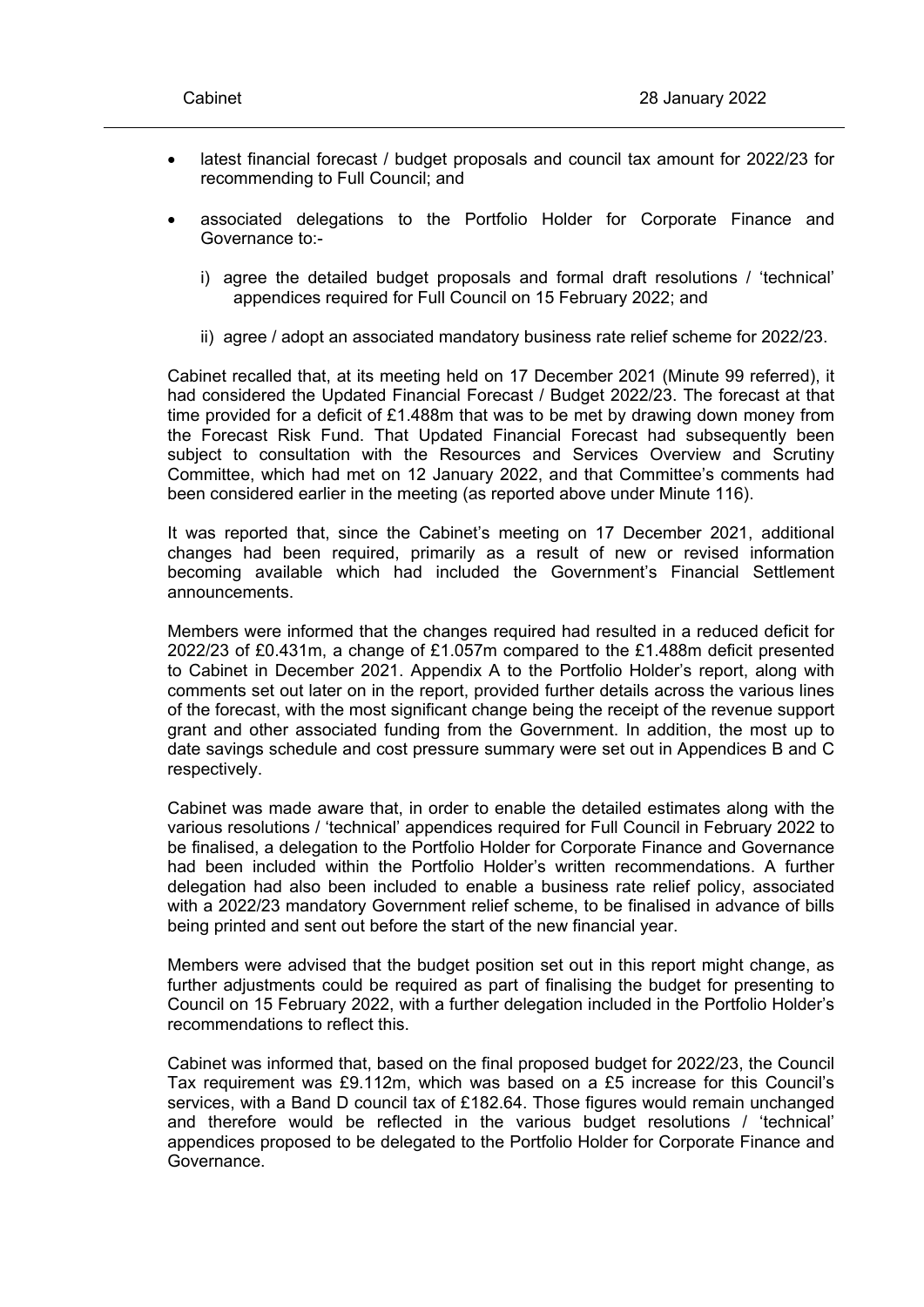- latest financial forecast / budget proposals and council tax amount for 2022/23 for recommending to Full Council; and
- associated delegations to the Portfolio Holder for Corporate Finance and Governance to:
	- i) agree the detailed budget proposals and formal draft resolutions / 'technical' appendices required for Full Council on 15 February 2022; and
	- ii) agree / adopt an associated mandatory business rate relief scheme for 2022/23.

Cabinet recalled that, at its meeting held on 17 December 2021 (Minute 99 referred), it had considered the Updated Financial Forecast / Budget 2022/23. The forecast at that time provided for a deficit of £1.488m that was to be met by drawing down money from the Forecast Risk Fund. That Updated Financial Forecast had subsequently been subject to consultation with the Resources and Services Overview and Scrutiny Committee, which had met on 12 January 2022, and that Committee's comments had been considered earlier in the meeting (as reported above under Minute 116).

It was reported that, since the Cabinet's meeting on 17 December 2021, additional changes had been required, primarily as a result of new or revised information becoming available which had included the Government's Financial Settlement announcements.

Members were informed that the changes required had resulted in a reduced deficit for 2022/23 of £0.431m, a change of £1.057m compared to the £1.488m deficit presented to Cabinet in December 2021. Appendix A to the Portfolio Holder's report, along with comments set out later on in the report, provided further details across the various lines of the forecast, with the most significant change being the receipt of the revenue support grant and other associated funding from the Government. In addition, the most up to date savings schedule and cost pressure summary were set out in Appendices B and C respectively.

Cabinet was made aware that, in order to enable the detailed estimates along with the various resolutions / 'technical' appendices required for Full Council in February 2022 to be finalised, a delegation to the Portfolio Holder for Corporate Finance and Governance had been included within the Portfolio Holder's written recommendations. A further delegation had also been included to enable a business rate relief policy, associated with a 2022/23 mandatory Government relief scheme, to be finalised in advance of bills being printed and sent out before the start of the new financial year.

Members were advised that the budget position set out in this report might change, as further adjustments could be required as part of finalising the budget for presenting to Council on 15 February 2022, with a further delegation included in the Portfolio Holder's recommendations to reflect this.

Cabinet was informed that, based on the final proposed budget for 2022/23, the Council Tax requirement was £9.112m, which was based on a £5 increase for this Council's services, with a Band D council tax of £182.64. Those figures would remain unchanged and therefore would be reflected in the various budget resolutions / 'technical' appendices proposed to be delegated to the Portfolio Holder for Corporate Finance and Governance.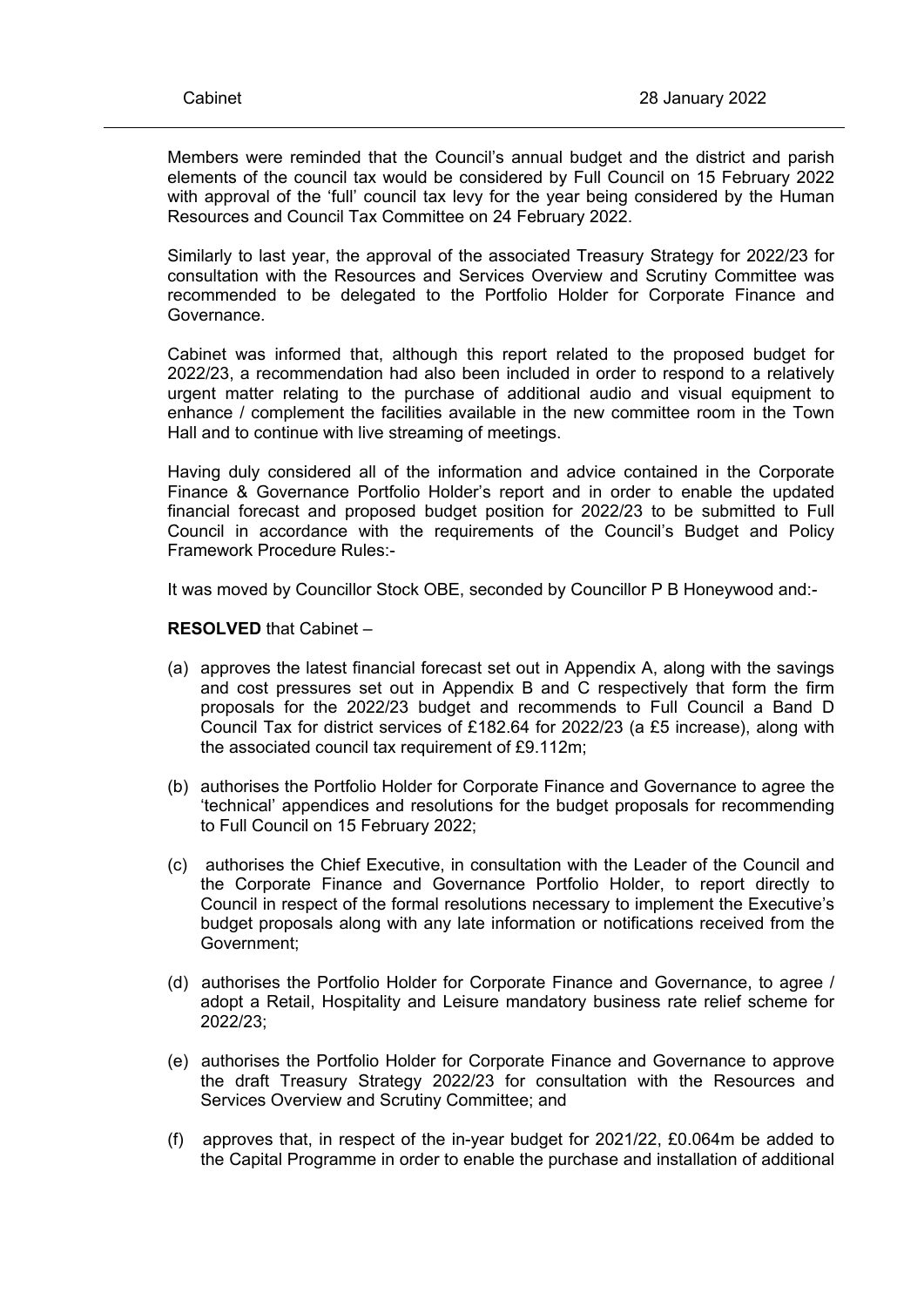Members were reminded that the Council's annual budget and the district and parish elements of the council tax would be considered by Full Council on 15 February 2022 with approval of the 'full' council tax levy for the year being considered by the Human Resources and Council Tax Committee on 24 February 2022.

Similarly to last year, the approval of the associated Treasury Strategy for 2022/23 for consultation with the Resources and Services Overview and Scrutiny Committee was recommended to be delegated to the Portfolio Holder for Corporate Finance and Governance.

Cabinet was informed that, although this report related to the proposed budget for 2022/23, a recommendation had also been included in order to respond to a relatively urgent matter relating to the purchase of additional audio and visual equipment to enhance / complement the facilities available in the new committee room in the Town Hall and to continue with live streaming of meetings.

Having duly considered all of the information and advice contained in the Corporate Finance & Governance Portfolio Holder's report and in order to enable the updated financial forecast and proposed budget position for 2022/23 to be submitted to Full Council in accordance with the requirements of the Council's Budget and Policy Framework Procedure Rules:-

It was moved by Councillor Stock OBE, seconded by Councillor P B Honeywood and:-

**RESOLVED** that Cabinet –

- (a) approves the latest financial forecast set out in Appendix A, along with the savings and cost pressures set out in Appendix B and C respectively that form the firm proposals for the 2022/23 budget and recommends to Full Council a Band D Council Tax for district services of £182.64 for 2022/23 (a £5 increase), along with the associated council tax requirement of £9.112m;
- (b) authorises the Portfolio Holder for Corporate Finance and Governance to agree the 'technical' appendices and resolutions for the budget proposals for recommending to Full Council on 15 February 2022;
- (c)authorises the Chief Executive, in consultation with the Leader of the Council and the Corporate Finance and Governance Portfolio Holder, to report directly to Council in respect of the formal resolutions necessary to implement the Executive's budget proposals along with any late information or notifications received from the Government;
- (d) authorises the Portfolio Holder for Corporate Finance and Governance, to agree / adopt a Retail, Hospitality and Leisure mandatory business rate relief scheme for 2022/23;
- (e)authorises the Portfolio Holder for Corporate Finance and Governance to approve the draft Treasury Strategy 2022/23 for consultation with the Resources and Services Overview and Scrutiny Committee; and
- (f)approves that, in respect of the in-year budget for 2021/22, £0.064m be added to the Capital Programme in order to enable the purchase and installation of additional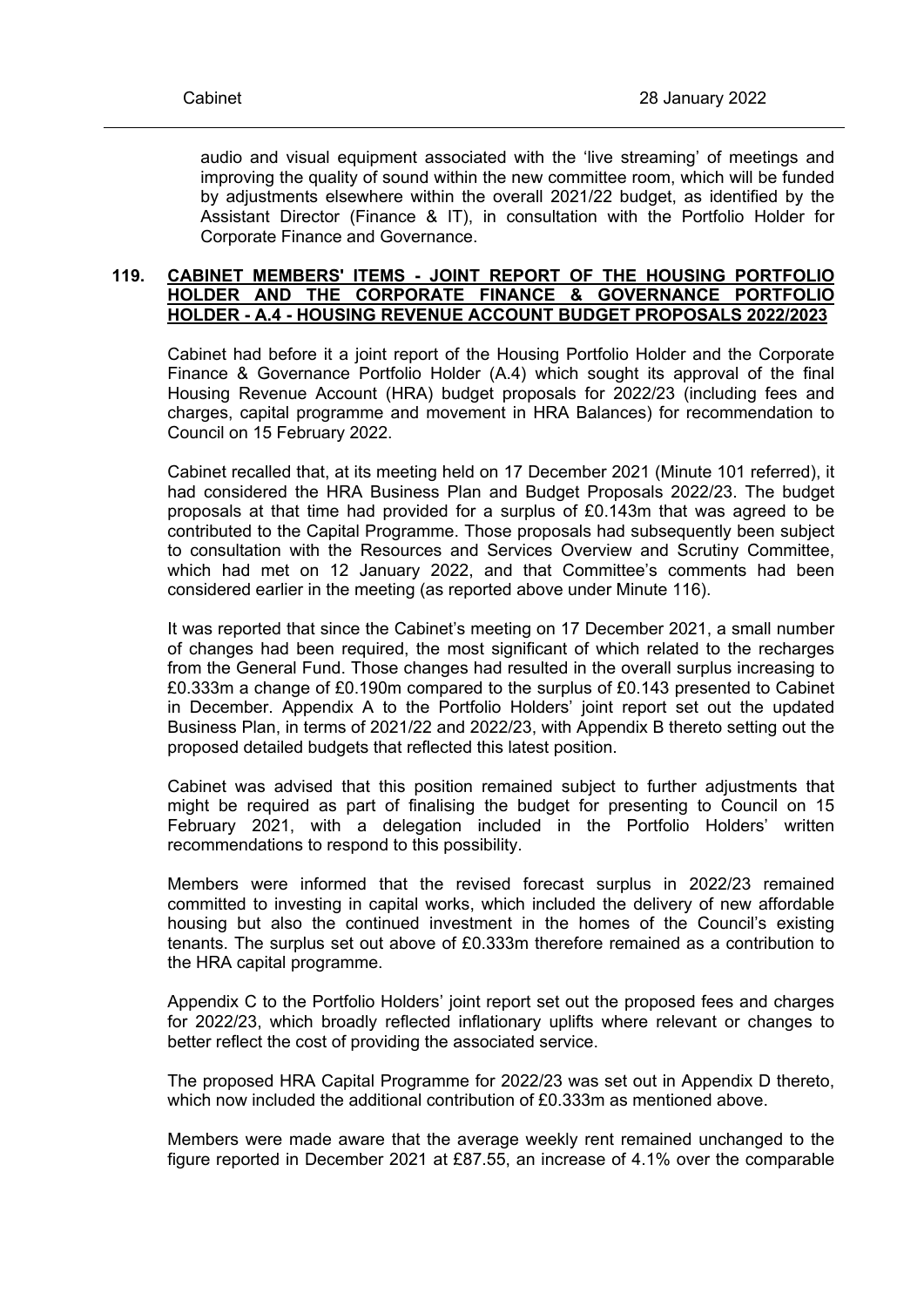audio and visual equipment associated with the 'live streaming' of meetings and improving the quality of sound within the new committee room, which will be funded by adjustments elsewhere within the overall 2021/22 budget, as identified by the Assistant Director (Finance & IT), in consultation with the Portfolio Holder for Corporate Finance and Governance.

## **119. CABINET MEMBERS' ITEMS - JOINT REPORT OF THE HOUSING PORTFOLIO HOLDER AND THE CORPORATE FINANCE & GOVERNANCE PORTFOLIO HOLDER - A.4 - HOUSING REVENUE ACCOUNT BUDGET PROPOSALS 2022/2023**

Cabinet had before it a joint report of the Housing Portfolio Holder and the Corporate Finance & Governance Portfolio Holder (A.4) which sought its approval of the final Housing Revenue Account (HRA) budget proposals for 2022/23 (including fees and charges, capital programme and movement in HRA Balances) for recommendation to Council on 15 February 2022.

Cabinet recalled that, at its meeting held on 17 December 2021 (Minute 101 referred), it had considered the HRA Business Plan and Budget Proposals 2022/23. The budget proposals at that time had provided for a surplus of £0.143m that was agreed to be contributed to the Capital Programme. Those proposals had subsequently been subject to consultation with the Resources and Services Overview and Scrutiny Committee, which had met on 12 January 2022, and that Committee's comments had been considered earlier in the meeting (as reported above under Minute 116).

It was reported that since the Cabinet's meeting on 17 December 2021, a small number of changes had been required, the most significant of which related to the recharges from the General Fund. Those changes had resulted in the overall surplus increasing to £0.333m a change of £0.190m compared to the surplus of £0.143 presented to Cabinet in December. Appendix A to the Portfolio Holders' joint report set out the updated Business Plan, in terms of 2021/22 and 2022/23, with Appendix B thereto setting out the proposed detailed budgets that reflected this latest position.

Cabinet was advised that this position remained subject to further adjustments that might be required as part of finalising the budget for presenting to Council on 15 February 2021, with a delegation included in the Portfolio Holders' written recommendations to respond to this possibility.

Members were informed that the revised forecast surplus in 2022/23 remained committed to investing in capital works, which included the delivery of new affordable housing but also the continued investment in the homes of the Council's existing tenants. The surplus set out above of £0.333m therefore remained as a contribution to the HRA capital programme.

Appendix C to the Portfolio Holders' joint report set out the proposed fees and charges for 2022/23, which broadly reflected inflationary uplifts where relevant or changes to better reflect the cost of providing the associated service.

The proposed HRA Capital Programme for 2022/23 was set out in Appendix D thereto, which now included the additional contribution of £0.333m as mentioned above.

Members were made aware that the average weekly rent remained unchanged to the figure reported in December 2021 at £87.55, an increase of 4.1% over the comparable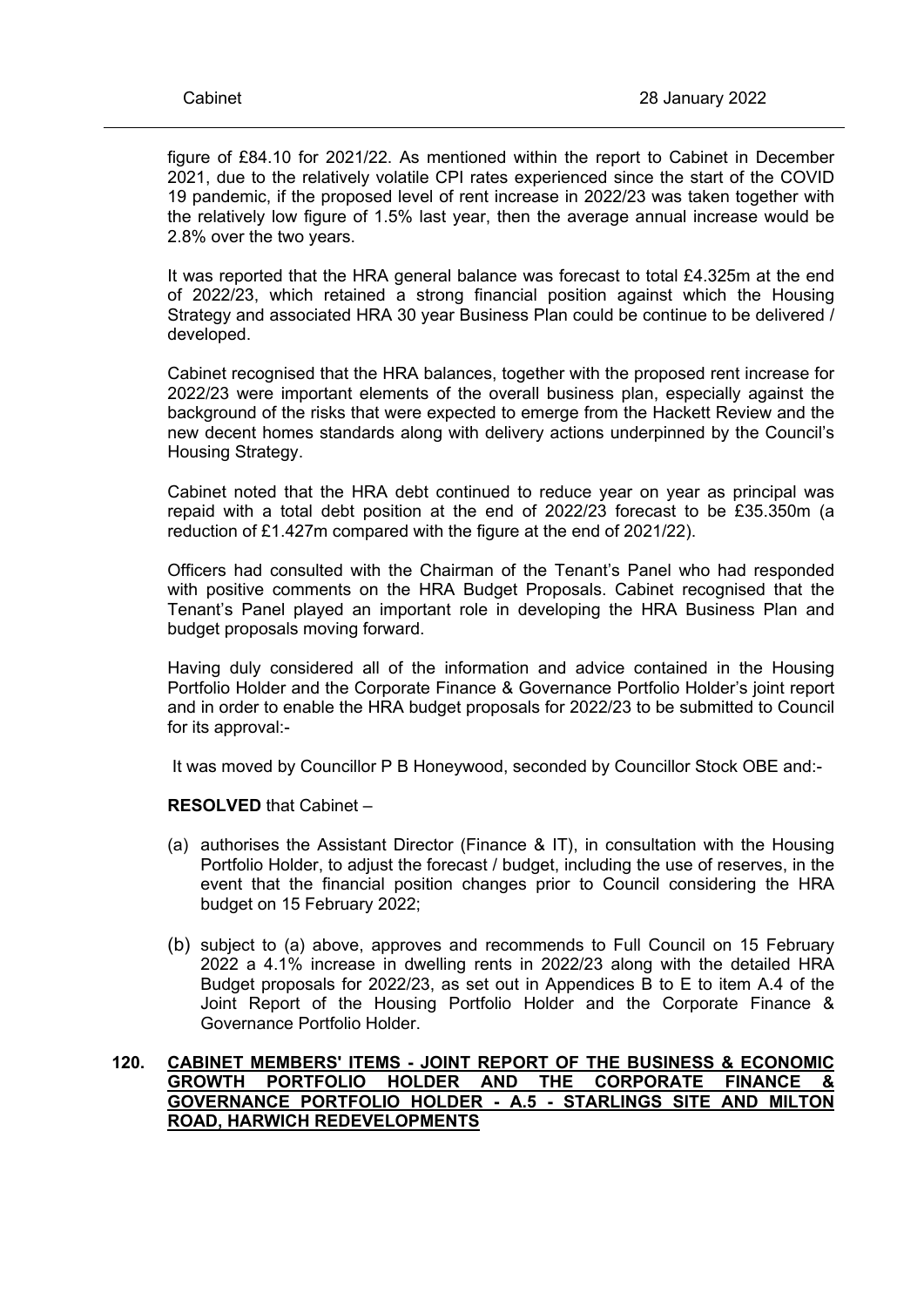figure of £84.10 for 2021/22. As mentioned within the report to Cabinet in December 2021, due to the relatively volatile CPI rates experienced since the start of the COVID 19 pandemic, if the proposed level of rent increase in 2022/23 was taken together with the relatively low figure of 1.5% last year, then the average annual increase would be 2.8% over the two years.

It was reported that the HRA general balance was forecast to total £4.325m at the end of 2022/23, which retained a strong financial position against which the Housing Strategy and associated HRA 30 year Business Plan could be continue to be delivered / developed.

Cabinet recognised that the HRA balances, together with the proposed rent increase for 2022/23 were important elements of the overall business plan, especially against the background of the risks that were expected to emerge from the Hackett Review and the new decent homes standards along with delivery actions underpinned by the Council's Housing Strategy.

Cabinet noted that the HRA debt continued to reduce year on year as principal was repaid with a total debt position at the end of 2022/23 forecast to be £35.350m (a reduction of £1.427m compared with the figure at the end of 2021/22).

Officers had consulted with the Chairman of the Tenant's Panel who had responded with positive comments on the HRA Budget Proposals. Cabinet recognised that the Tenant's Panel played an important role in developing the HRA Business Plan and budget proposals moving forward.

Having duly considered all of the information and advice contained in the Housing Portfolio Holder and the Corporate Finance & Governance Portfolio Holder's joint report and in order to enable the HRA budget proposals for 2022/23 to be submitted to Council for its approval:-

It was moved by Councillor P B Honeywood, seconded by Councillor Stock OBE and:-

## **RESOLVED** that Cabinet –

- (a) authorises the Assistant Director (Finance & IT), in consultation with the Housing Portfolio Holder, to adjust the forecast / budget, including the use of reserves, in the event that the financial position changes prior to Council considering the HRA budget on 15 February 2022;
- (b) subject to (a) above, approves and recommends to Full Council on 15 February 2022 a 4.1% increase in dwelling rents in 2022/23 along with the detailed HRA Budget proposals for 2022/23, as set out in Appendices B to E to item A.4 of the Joint Report of the Housing Portfolio Holder and the Corporate Finance & Governance Portfolio Holder.

## **120. CABINET MEMBERS' ITEMS - JOINT REPORT OF THE BUSINESS & ECONOMIC GROWTH PORTFOLIO HOLDER AND THE CORPORATE FINANCE & GOVERNANCE PORTFOLIO HOLDER - A.5 - STARLINGS SITE AND MILTON ROAD, HARWICH REDEVELOPMENTS**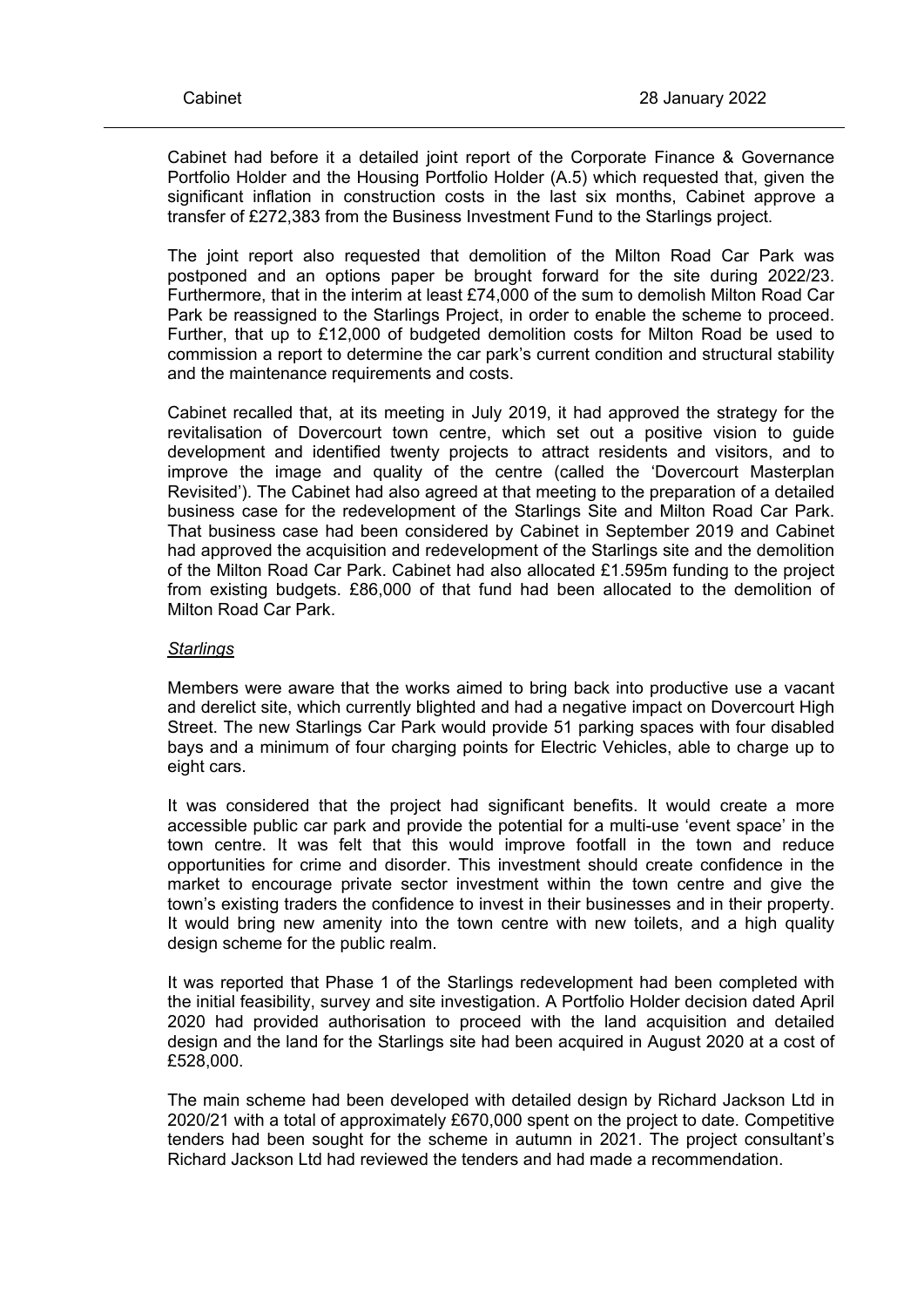Cabinet had before it a detailed joint report of the Corporate Finance & Governance Portfolio Holder and the Housing Portfolio Holder (A.5) which requested that, given the significant inflation in construction costs in the last six months, Cabinet approve a transfer of £272,383 from the Business Investment Fund to the Starlings project.

The joint report also requested that demolition of the Milton Road Car Park was postponed and an options paper be brought forward for the site during 2022/23. Furthermore, that in the interim at least £74,000 of the sum to demolish Milton Road Car Park be reassigned to the Starlings Project, in order to enable the scheme to proceed. Further, that up to £12,000 of budgeted demolition costs for Milton Road be used to commission a report to determine the car park's current condition and structural stability and the maintenance requirements and costs.

Cabinet recalled that, at its meeting in July 2019, it had approved the strategy for the revitalisation of Dovercourt town centre, which set out a positive vision to guide development and identified twenty projects to attract residents and visitors, and to improve the image and quality of the centre (called the 'Dovercourt Masterplan Revisited'). The Cabinet had also agreed at that meeting to the preparation of a detailed business case for the redevelopment of the Starlings Site and Milton Road Car Park. That business case had been considered by Cabinet in September 2019 and Cabinet had approved the acquisition and redevelopment of the Starlings site and the demolition of the Milton Road Car Park. Cabinet had also allocated £1.595m funding to the project from existing budgets. £86,000 of that fund had been allocated to the demolition of Milton Road Car Park.

### *Starlings*

Members were aware that the works aimed to bring back into productive use a vacant and derelict site, which currently blighted and had a negative impact on Dovercourt High Street. The new Starlings Car Park would provide 51 parking spaces with four disabled bays and a minimum of four charging points for Electric Vehicles, able to charge up to eight cars.

It was considered that the project had significant benefits. It would create a more accessible public car park and provide the potential for a multi-use 'event space' in the town centre. It was felt that this would improve footfall in the town and reduce opportunities for crime and disorder. This investment should create confidence in the market to encourage private sector investment within the town centre and give the town's existing traders the confidence to invest in their businesses and in their property. It would bring new amenity into the town centre with new toilets, and a high quality design scheme for the public realm.

It was reported that Phase 1 of the Starlings redevelopment had been completed with the initial feasibility, survey and site investigation. A Portfolio Holder decision dated April 2020 had provided authorisation to proceed with the land acquisition and detailed design and the land for the Starlings site had been acquired in August 2020 at a cost of £528,000.

The main scheme had been developed with detailed design by Richard Jackson Ltd in 2020/21 with a total of approximately £670,000 spent on the project to date. Competitive tenders had been sought for the scheme in autumn in 2021. The project consultant's Richard Jackson Ltd had reviewed the tenders and had made a recommendation.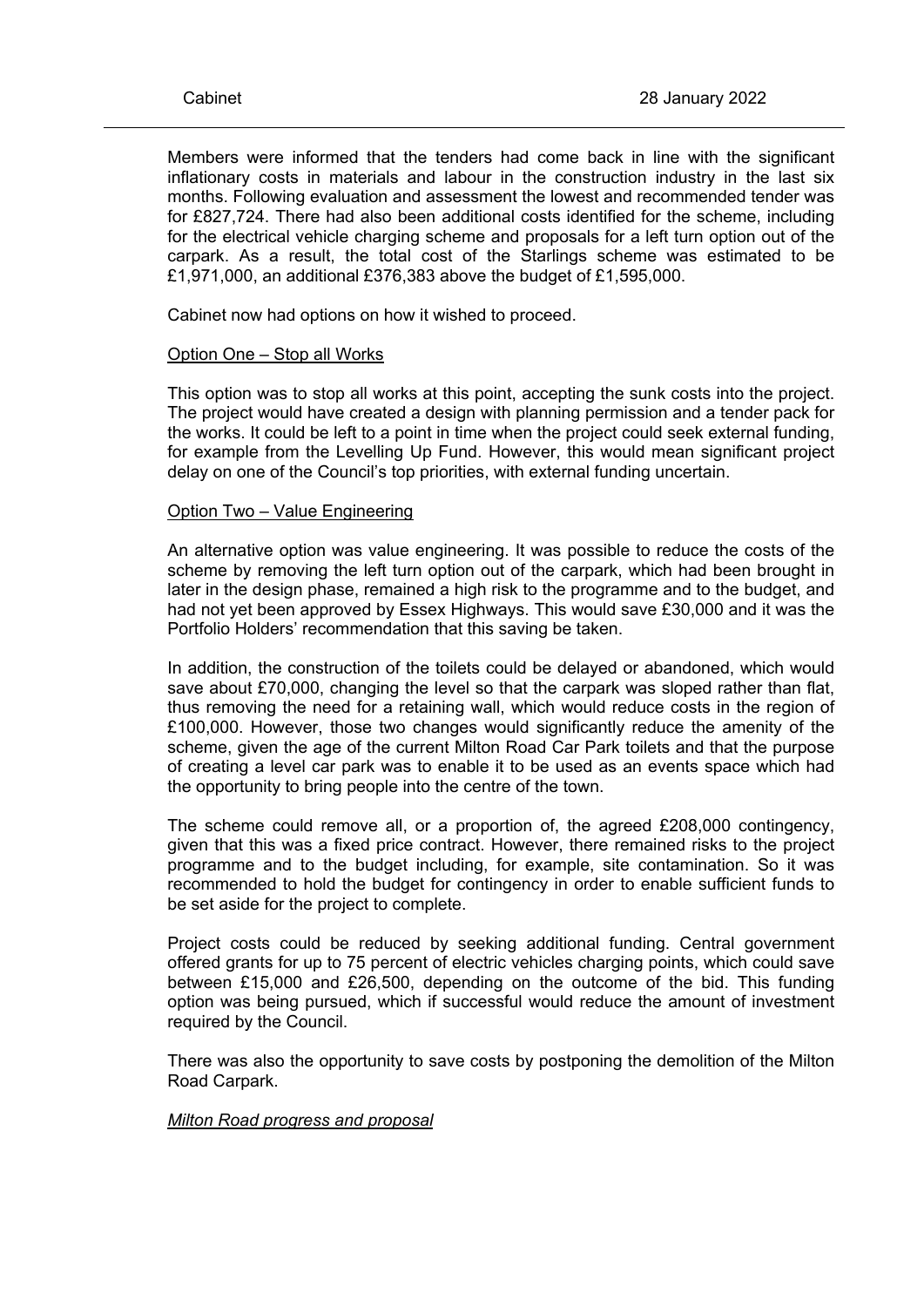Members were informed that the tenders had come back in line with the significant inflationary costs in materials and labour in the construction industry in the last six months. Following evaluation and assessment the lowest and recommended tender was for £827,724. There had also been additional costs identified for the scheme, including for the electrical vehicle charging scheme and proposals for a left turn option out of the carpark. As a result, the total cost of the Starlings scheme was estimated to be £1,971,000, an additional £376,383 above the budget of £1,595,000.

Cabinet now had options on how it wished to proceed.

#### Option One – Stop all Works

This option was to stop all works at this point, accepting the sunk costs into the project. The project would have created a design with planning permission and a tender pack for the works. It could be left to a point in time when the project could seek external funding, for example from the Levelling Up Fund. However, this would mean significant project delay on one of the Council's top priorities, with external funding uncertain.

#### Option Two – Value Engineering

An alternative option was value engineering. It was possible to reduce the costs of the scheme by removing the left turn option out of the carpark, which had been brought in later in the design phase, remained a high risk to the programme and to the budget, and had not yet been approved by Essex Highways. This would save £30,000 and it was the Portfolio Holders' recommendation that this saving be taken.

In addition, the construction of the toilets could be delayed or abandoned, which would save about £70,000, changing the level so that the carpark was sloped rather than flat, thus removing the need for a retaining wall, which would reduce costs in the region of £100,000. However, those two changes would significantly reduce the amenity of the scheme, given the age of the current Milton Road Car Park toilets and that the purpose of creating a level car park was to enable it to be used as an events space which had the opportunity to bring people into the centre of the town.

The scheme could remove all, or a proportion of, the agreed £208,000 contingency, given that this was a fixed price contract. However, there remained risks to the project programme and to the budget including, for example, site contamination. So it was recommended to hold the budget for contingency in order to enable sufficient funds to be set aside for the project to complete.

Project costs could be reduced by seeking additional funding. Central government offered grants for up to 75 percent of electric vehicles charging points, which could save between £15,000 and £26,500, depending on the outcome of the bid. This funding option was being pursued, which if successful would reduce the amount of investment required by the Council.

There was also the opportunity to save costs by postponing the demolition of the Milton Road Carpark.

*Milton Road progress and proposal*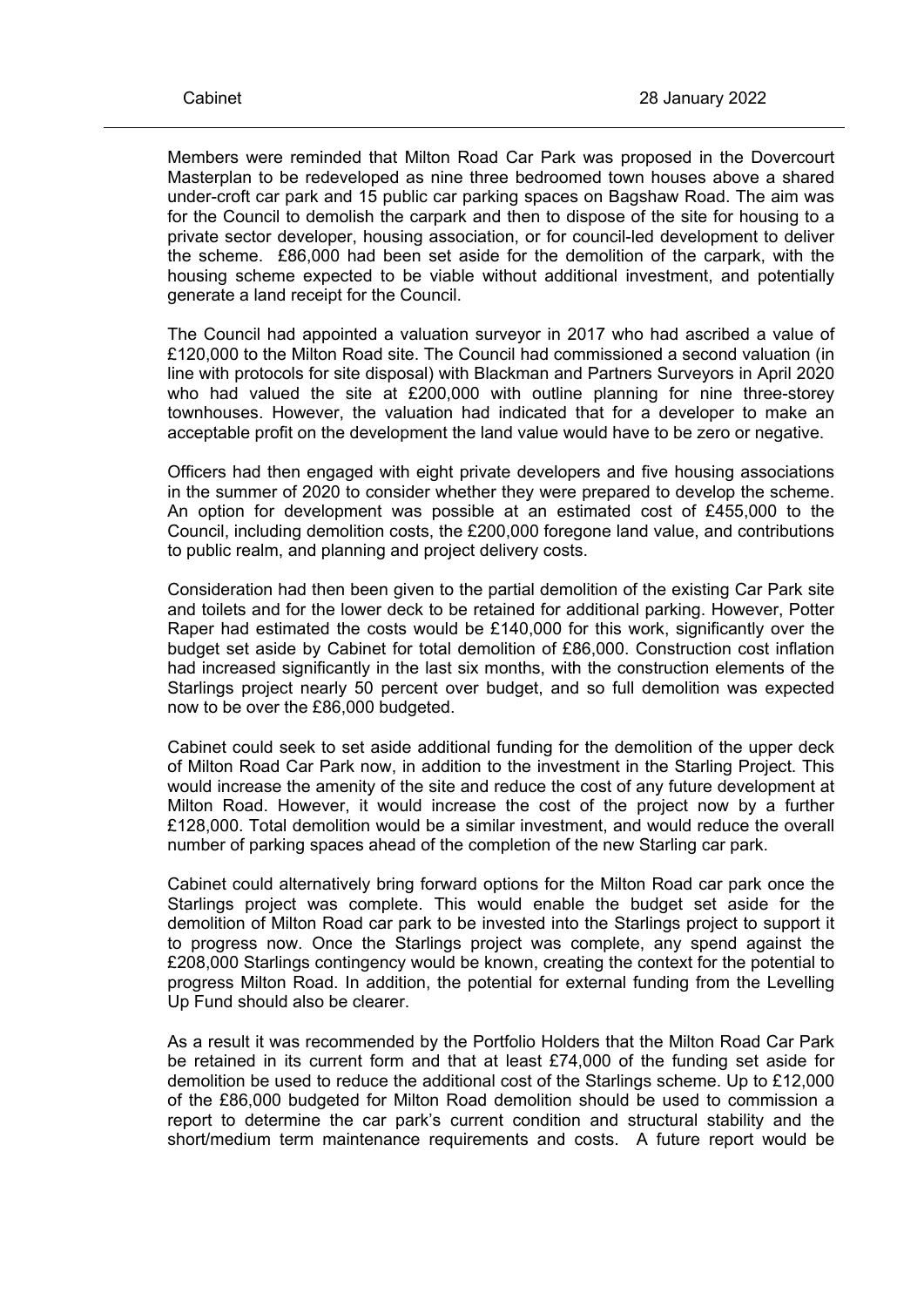Members were reminded that Milton Road Car Park was proposed in the Dovercourt Masterplan to be redeveloped as nine three bedroomed town houses above a shared under-croft car park and 15 public car parking spaces on Bagshaw Road. The aim was for the Council to demolish the carpark and then to dispose of the site for housing to a private sector developer, housing association, or for council-led development to deliver the scheme. £86,000 had been set aside for the demolition of the carpark, with the housing scheme expected to be viable without additional investment, and potentially generate a land receipt for the Council.

The Council had appointed a valuation surveyor in 2017 who had ascribed a value of £120,000 to the Milton Road site. The Council had commissioned a second valuation (in line with protocols for site disposal) with Blackman and Partners Surveyors in April 2020 who had valued the site at £200,000 with outline planning for nine three-storey townhouses. However, the valuation had indicated that for a developer to make an acceptable profit on the development the land value would have to be zero or negative.

Officers had then engaged with eight private developers and five housing associations in the summer of 2020 to consider whether they were prepared to develop the scheme. An option for development was possible at an estimated cost of £455,000 to the Council, including demolition costs, the £200,000 foregone land value, and contributions to public realm, and planning and project delivery costs.

Consideration had then been given to the partial demolition of the existing Car Park site and toilets and for the lower deck to be retained for additional parking. However, Potter Raper had estimated the costs would be £140,000 for this work, significantly over the budget set aside by Cabinet for total demolition of £86,000. Construction cost inflation had increased significantly in the last six months, with the construction elements of the Starlings project nearly 50 percent over budget, and so full demolition was expected now to be over the £86,000 budgeted.

Cabinet could seek to set aside additional funding for the demolition of the upper deck of Milton Road Car Park now, in addition to the investment in the Starling Project. This would increase the amenity of the site and reduce the cost of any future development at Milton Road. However, it would increase the cost of the project now by a further £128,000. Total demolition would be a similar investment, and would reduce the overall number of parking spaces ahead of the completion of the new Starling car park.

Cabinet could alternatively bring forward options for the Milton Road car park once the Starlings project was complete. This would enable the budget set aside for the demolition of Milton Road car park to be invested into the Starlings project to support it to progress now. Once the Starlings project was complete, any spend against the £208,000 Starlings contingency would be known, creating the context for the potential to progress Milton Road. In addition, the potential for external funding from the Levelling Up Fund should also be clearer.

As a result it was recommended by the Portfolio Holders that the Milton Road Car Park be retained in its current form and that at least £74,000 of the funding set aside for demolition be used to reduce the additional cost of the Starlings scheme. Up to £12,000 of the £86,000 budgeted for Milton Road demolition should be used to commission a report to determine the car park's current condition and structural stability and the short/medium term maintenance requirements and costs. A future report would be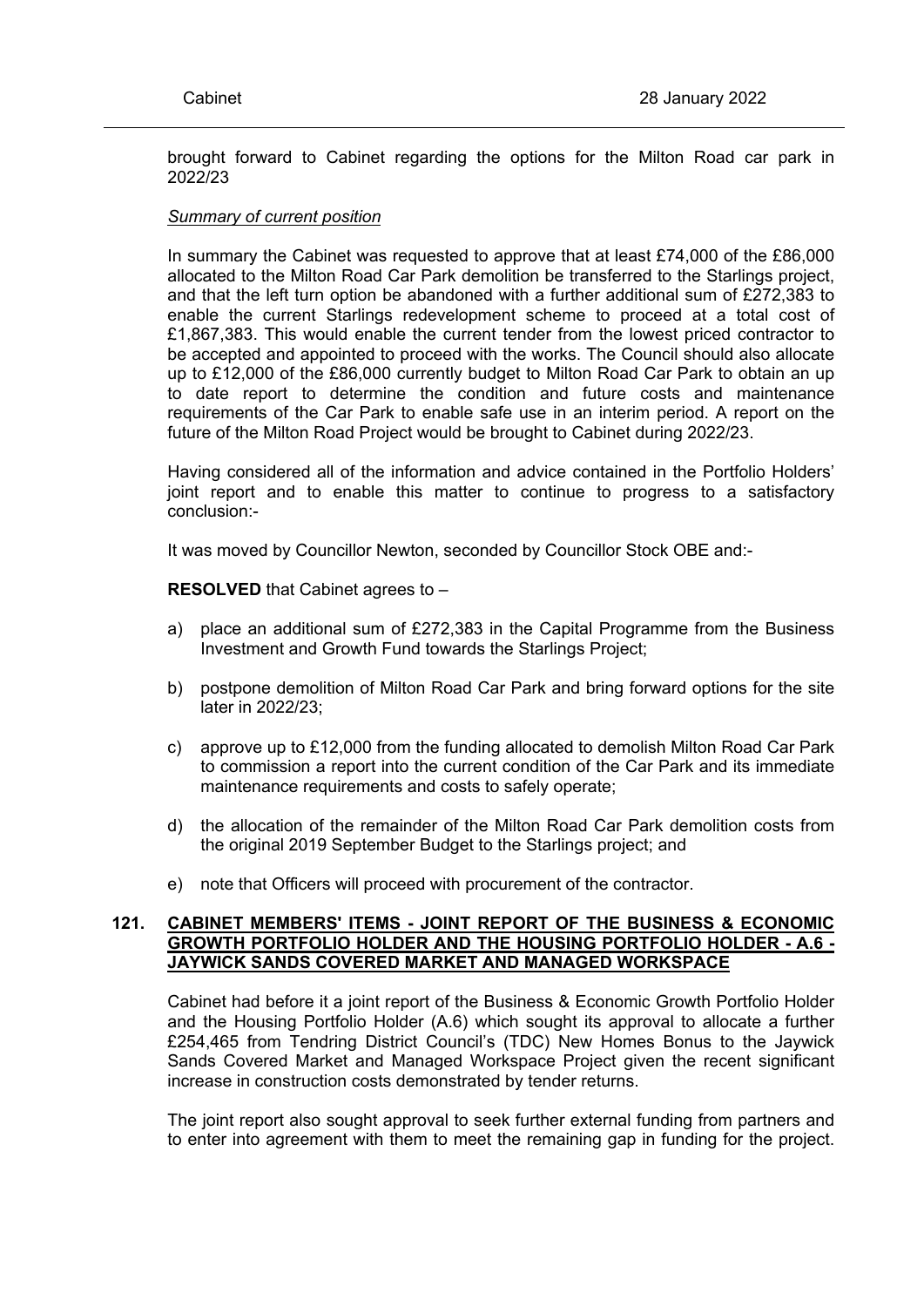brought forward to Cabinet regarding the options for the Milton Road car park in 2022/23

### *Summary of current position*

In summary the Cabinet was requested to approve that at least £74,000 of the £86,000 allocated to the Milton Road Car Park demolition be transferred to the Starlings project, and that the left turn option be abandoned with a further additional sum of £272,383 to enable the current Starlings redevelopment scheme to proceed at a total cost of £1,867,383. This would enable the current tender from the lowest priced contractor to be accepted and appointed to proceed with the works. The Council should also allocate up to £12,000 of the £86,000 currently budget to Milton Road Car Park to obtain an up to date report to determine the condition and future costs and maintenance requirements of the Car Park to enable safe use in an interim period. A report on the future of the Milton Road Project would be brought to Cabinet during 2022/23.

Having considered all of the information and advice contained in the Portfolio Holders' joint report and to enable this matter to continue to progress to a satisfactory conclusion:-

It was moved by Councillor Newton, seconded by Councillor Stock OBE and:-

**RESOLVED** that Cabinet agrees to –

- a) place an additional sum of £272,383 in the Capital Programme from the Business Investment and Growth Fund towards the Starlings Project;
- b) postpone demolition of Milton Road Car Park and bring forward options for the site later in 2022/23;
- c) approve up to £12,000 from the funding allocated to demolish Milton Road Car Park to commission a report into the current condition of the Car Park and its immediate maintenance requirements and costs to safely operate;
- d) the allocation of the remainder of the Milton Road Car Park demolition costs from the original 2019 September Budget to the Starlings project; and
- e) note that Officers will proceed with procurement of the contractor.

## **121. CABINET MEMBERS' ITEMS - JOINT REPORT OF THE BUSINESS & ECONOMIC GROWTH PORTFOLIO HOLDER AND THE HOUSING PORTFOLIO HOLDER - A.6 - JAYWICK SANDS COVERED MARKET AND MANAGED WORKSPACE**

Cabinet had before it a joint report of the Business & Economic Growth Portfolio Holder and the Housing Portfolio Holder (A.6) which sought its approval to allocate a further £254,465 from Tendring District Council's (TDC) New Homes Bonus to the Jaywick Sands Covered Market and Managed Workspace Project given the recent significant increase in construction costs demonstrated by tender returns.

The joint report also sought approval to seek further external funding from partners and to enter into agreement with them to meet the remaining gap in funding for the project.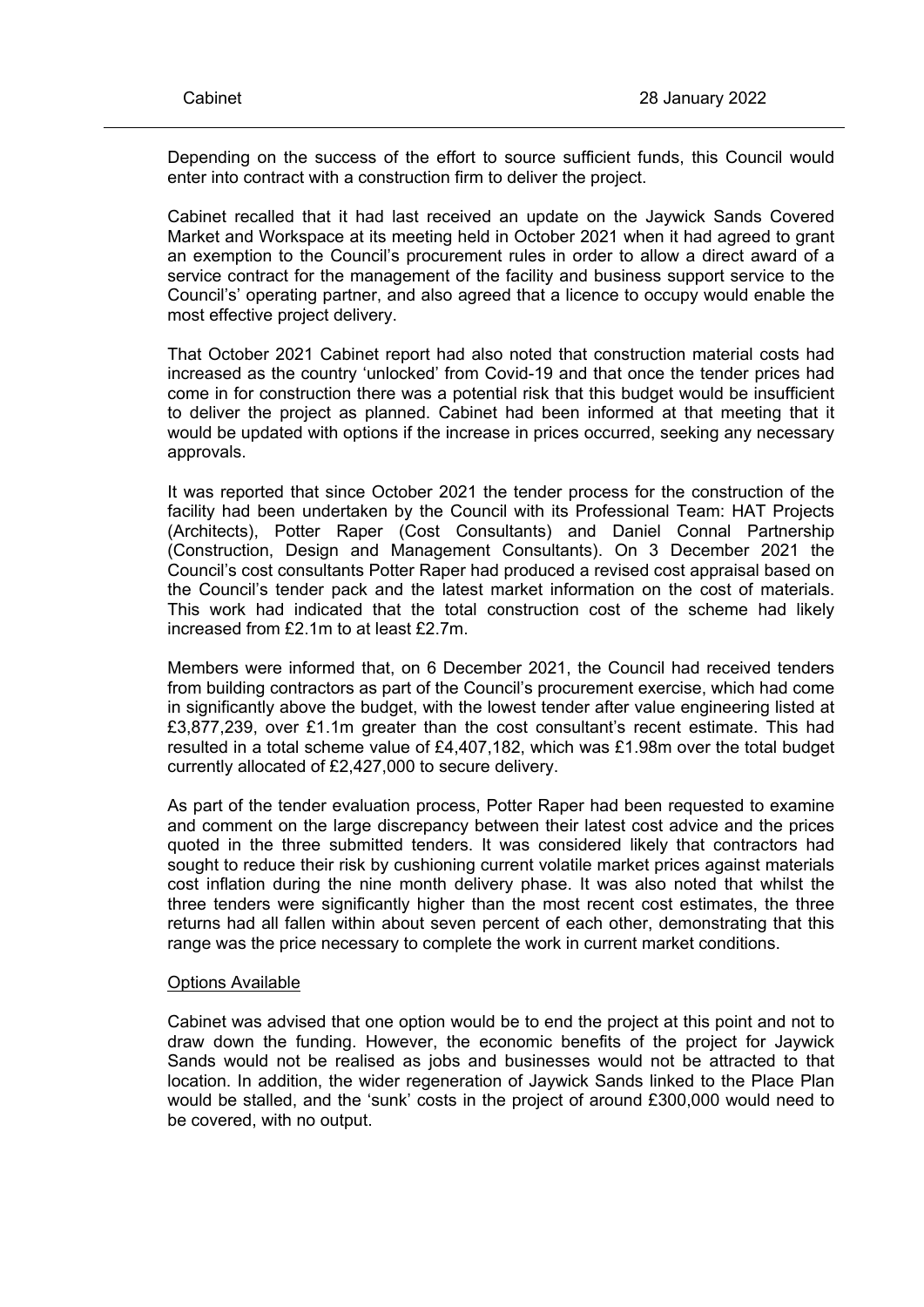Depending on the success of the effort to source sufficient funds, this Council would enter into contract with a construction firm to deliver the project.

Cabinet recalled that it had last received an update on the Jaywick Sands Covered Market and Workspace at its meeting held in October 2021 when it had agreed to grant an exemption to the Council's procurement rules in order to allow a direct award of a service contract for the management of the facility and business support service to the Council's' operating partner, and also agreed that a licence to occupy would enable the most effective project delivery.

That October 2021 Cabinet report had also noted that construction material costs had increased as the country 'unlocked' from Covid-19 and that once the tender prices had come in for construction there was a potential risk that this budget would be insufficient to deliver the project as planned. Cabinet had been informed at that meeting that it would be updated with options if the increase in prices occurred, seeking any necessary approvals.

It was reported that since October 2021 the tender process for the construction of the facility had been undertaken by the Council with its Professional Team: HAT Projects (Architects), Potter Raper (Cost Consultants) and Daniel Connal Partnership (Construction, Design and Management Consultants). On 3 December 2021 the Council's cost consultants Potter Raper had produced a revised cost appraisal based on the Council's tender pack and the latest market information on the cost of materials. This work had indicated that the total construction cost of the scheme had likely increased from £2.1m to at least £2.7m.

Members were informed that, on 6 December 2021, the Council had received tenders from building contractors as part of the Council's procurement exercise, which had come in significantly above the budget, with the lowest tender after value engineering listed at £3,877,239, over £1.1m greater than the cost consultant's recent estimate. This had resulted in a total scheme value of £4,407,182, which was £1.98m over the total budget currently allocated of £2,427,000 to secure delivery.

As part of the tender evaluation process, Potter Raper had been requested to examine and comment on the large discrepancy between their latest cost advice and the prices quoted in the three submitted tenders. It was considered likely that contractors had sought to reduce their risk by cushioning current volatile market prices against materials cost inflation during the nine month delivery phase. It was also noted that whilst the three tenders were significantly higher than the most recent cost estimates, the three returns had all fallen within about seven percent of each other, demonstrating that this range was the price necessary to complete the work in current market conditions.

# Options Available

Cabinet was advised that one option would be to end the project at this point and not to draw down the funding. However, the economic benefits of the project for Jaywick Sands would not be realised as jobs and businesses would not be attracted to that location. In addition, the wider regeneration of Jaywick Sands linked to the Place Plan would be stalled, and the 'sunk' costs in the project of around £300,000 would need to be covered, with no output.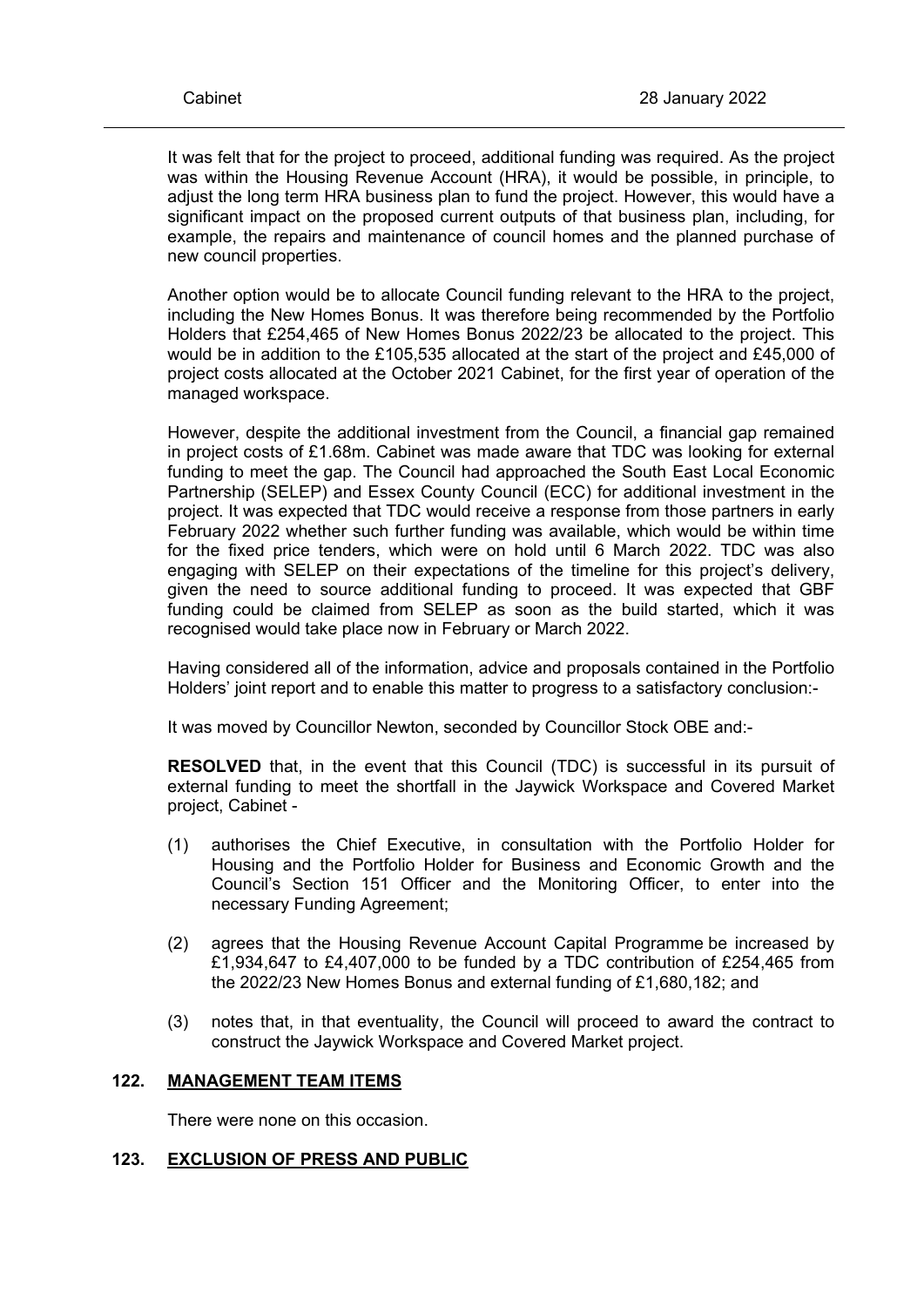It was felt that for the project to proceed, additional funding was required. As the project was within the Housing Revenue Account (HRA), it would be possible, in principle, to adjust the long term HRA business plan to fund the project. However, this would have a significant impact on the proposed current outputs of that business plan, including, for example, the repairs and maintenance of council homes and the planned purchase of new council properties.

Another option would be to allocate Council funding relevant to the HRA to the project, including the New Homes Bonus. It was therefore being recommended by the Portfolio Holders that £254,465 of New Homes Bonus 2022/23 be allocated to the project. This would be in addition to the £105,535 allocated at the start of the project and £45,000 of project costs allocated at the October 2021 Cabinet, for the first year of operation of the managed workspace.

However, despite the additional investment from the Council, a financial gap remained in project costs of £1.68m. Cabinet was made aware that TDC was looking for external funding to meet the gap. The Council had approached the South East Local Economic Partnership (SELEP) and Essex County Council (ECC) for additional investment in the project. It was expected that TDC would receive a response from those partners in early February 2022 whether such further funding was available, which would be within time for the fixed price tenders, which were on hold until 6 March 2022. TDC was also engaging with SELEP on their expectations of the timeline for this project's delivery, given the need to source additional funding to proceed. It was expected that GBF funding could be claimed from SELEP as soon as the build started, which it was recognised would take place now in February or March 2022.

Having considered all of the information, advice and proposals contained in the Portfolio Holders' joint report and to enable this matter to progress to a satisfactory conclusion:-

It was moved by Councillor Newton, seconded by Councillor Stock OBE and:-

**RESOLVED** that, in the event that this Council (TDC) is successful in its pursuit of external funding to meet the shortfall in the Jaywick Workspace and Covered Market project, Cabinet -

- (1) authorises the Chief Executive, in consultation with the Portfolio Holder for Housing and the Portfolio Holder for Business and Economic Growth and the Council's Section 151 Officer and the Monitoring Officer, to enter into the necessary Funding Agreement;
- (2) agrees that the Housing Revenue Account Capital Programme be increased by £1,934,647 to £4,407,000 to be funded by a TDC contribution of £254,465 from the 2022/23 New Homes Bonus and external funding of £1,680,182; and
- (3) notes that, in that eventuality, the Council will proceed to award the contract to construct the Jaywick Workspace and Covered Market project.

### **122. MANAGEMENT TEAM ITEMS**

There were none on this occasion.

#### **123. EXCLUSION OF PRESS AND PUBLIC**